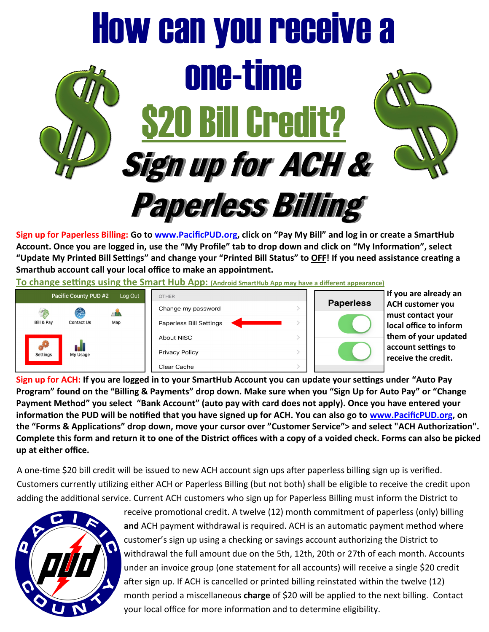

**Sign up for Paperless Billing: Go to [www.PacificPUD.org,](http://www.PacificPUD.org) click on "Pay My Bill" and log in or create a SmartHub Account. Once you are logged in, use the "My Profile" tab to drop down and click on "My Information", select "Update My Printed Bill Settings" and change your "Printed Bill Status" to OFF! If you need assistance creating a Smarthub account call your local office to make an appointment.** 

**To change settings using the Smart Hub App: (Android SmartHub App may have a different appearance)**



**Sign up for ACH: If you are logged in to your SmartHub Account you can update your settings under "Auto Pay Program" found on the "Billing & Payments" drop down. Make sure when you "Sign Up for Auto Pay" or "Change Payment Method" you select "Bank Account" (auto pay with card does not apply). Once you have entered your information the PUD will be notified that you have signed up for ACH. You can also go to [www.PacificPUD.org,](http://www.PacificPUD.org) on the "Forms & Applications" drop down, move your cursor over "Customer Service"> and select "ACH Authorization". Complete this form and return it to one of the District offices with a copy of a voided check. Forms can also be picked up at either office.** 

A one-time \$20 bill credit will be issued to new ACH account sign ups after paperless billing sign up is verified. Customers currently utilizing either ACH or Paperless Billing (but not both) shall be eligible to receive the credit upon adding the additional service. Current ACH customers who sign up for Paperless Billing must inform the District to



receive promotional credit. A twelve (12) month commitment of paperless (only) billing **and** ACH payment withdrawal is required. ACH is an automatic payment method where customer's sign up using a checking or savings account authorizing the District to withdrawal the full amount due on the 5th, 12th, 20th or 27th of each month. Accounts under an invoice group (one statement for all accounts) will receive a single \$20 credit after sign up. If ACH is cancelled or printed billing reinstated within the twelve (12) month period a miscellaneous **charge** of \$20 will be applied to the next billing. Contact your local office for more information and to determine eligibility.